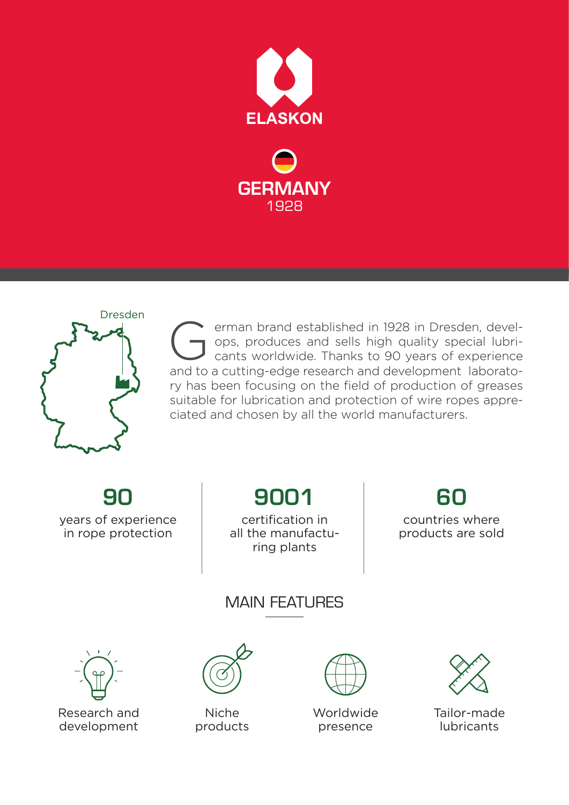





erman brand established in 1928 in Dresden, develops, produces and sells high quality special lubricants worldwide. Thanks to 90 years of experience **Communisty Communisty** and setablished in 1928 in Dresden, devel-<br>
ops, produces and sells high quality special lubri-<br>
cants worldwide. Thanks to 90 years of experience<br>
and to a cutting-edge research and development lab ry has been focusing on the field of production of greases suitable for lubrication and protection of wire ropes appreciated and chosen by all the world manufacturers.

 $9<sub>0</sub>$ years of experience in rope protection

9001

certification in all the manufacturing plants

 $60$ countries where products are sold

## MAIN FFATI IRFS



Research and development



Niche products



Worldwide presence



Tailor-made lubricants